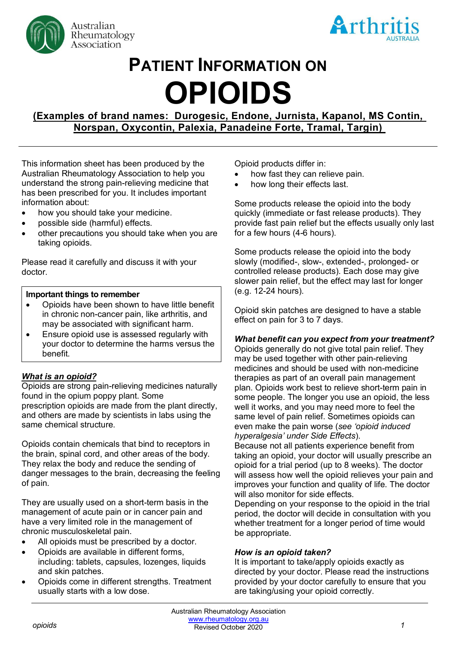



# **PATIENT INFORMATION ON OPIOIDS**

**(Examples of brand names: Durogesic, Endone, Jurnista, Kapanol, MS Contin, Norspan, Oxycontin, Palexia, Panadeine Forte, Tramal, Targin)**

This information sheet has been produced by the Australian Rheumatology Association to help you understand the strong pain-relieving medicine that has been prescribed for you. It includes important information about:

- how you should take your medicine.
- possible side (harmful) effects.
- other precautions you should take when you are taking opioids.

Please read it carefully and discuss it with your doctor.

#### **Important things to remember**

- Opioids have been shown to have little benefit in chronic non-cancer pain, like arthritis, and may be associated with significant harm.
- Ensure opioid use is assessed regularly with your doctor to determine the harms versus the benefit.

## *What is an opioid?*

Opioids are strong pain-relieving medicines naturally found in the opium poppy plant. Some prescription opioids are made from the plant directly, and others are made by scientists in labs using the same chemical structure.

Opioids contain chemicals that bind to receptors in the brain, spinal cord, and other areas of the body. They relax the body and reduce the sending of danger messages to the brain, decreasing the feeling of pain.

They are usually used on a short-term basis in the management of acute pain or in cancer pain and have a very limited role in the management of chronic musculoskeletal pain.

- All opioids must be prescribed by a doctor.
- Opioids are available in different forms, including: tablets, capsules, lozenges, liquids and skin patches.
- Opioids come in different strengths. Treatment usually starts with a low dose.

Opioid products differ in:

- how fast they can relieve pain.
- how long their effects last.

Some products release the opioid into the body quickly (immediate or fast release products). They provide fast pain relief but the effects usually only last for a few hours (4-6 hours).

Some products release the opioid into the body slowly (modified-, slow-, extended-, prolonged- or controlled release products). Each dose may give slower pain relief, but the effect may last for longer (e.g. 12-24 hours).

Opioid skin patches are designed to have a stable effect on pain for 3 to 7 days.

## *What benefit can you expect from your treatment?*

Opioids generally do not give total pain relief. They may be used together with other pain-relieving medicines and should be used with non-medicine therapies as part of an overall pain management plan. Opioids work best to relieve short-term pain in some people. The longer you use an opioid, the less well it works, and you may need more to feel the same level of pain relief. Sometimes opioids can even make the pain worse (*see 'opioid induced hyperalgesia' under Side Effects*).

Because not all patients experience benefit from taking an opioid, your doctor will usually prescribe an opioid for a trial period (up to 8 weeks). The doctor will assess how well the opioid relieves your pain and improves your function and quality of life. The doctor will also monitor for side effects.

Depending on your response to the opioid in the trial period, the doctor will decide in consultation with you whether treatment for a longer period of time would be appropriate.

## *How is an opioid taken?*

It is important to take/apply opioids exactly as directed by your doctor. Please read the instructions provided by your doctor carefully to ensure that you are taking/using your opioid correctly.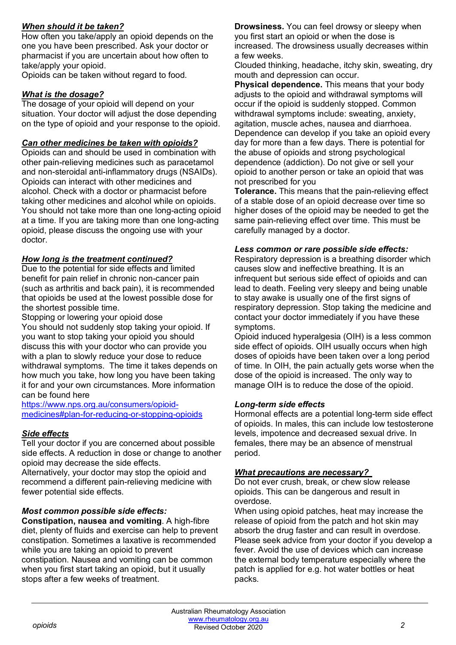## *When should it be taken?*

How often you take/apply an opioid depends on the one you have been prescribed. Ask your doctor or pharmacist if you are uncertain about how often to take/apply your opioid.

Opioids can be taken without regard to food.

## *What is the dosage?*

The dosage of your opioid will depend on your situation. Your doctor will adjust the dose depending on the type of opioid and your response to the opioid.

## *Can other medicines be taken with opioids?*

Opioids can and should be used in combination with other pain-relieving medicines such as paracetamol and non-steroidal anti-inflammatory drugs (NSAIDs). Opioids can interact with other medicines and alcohol. Check with a doctor or pharmacist before taking other medicines and alcohol while on opioids. You should not take more than one long-acting opioid at a time. If you are taking more than one long-acting opioid, please discuss the ongoing use with your doctor.

## *How long is the treatment continued?*

Due to the potential for side effects and limited benefit for pain relief in chronic non-cancer pain (such as arthritis and back pain), it is recommended that opioids be used at the lowest possible dose for the shortest possible time.

Stopping or lowering your opioid dose

You should not suddenly stop taking your opioid. If you want to stop taking your opioid you should discuss this with your doctor who can provide you with a plan to slowly reduce your dose to reduce withdrawal symptoms. The time it takes depends on how much you take, how long you have been taking it for and your own circumstances. More information can be found here

[https://www.nps.org.au/consumers/opioid](https://www.nps.org.au/consumers/opioid-medicines#plan-for-reducing-or-stopping-opioids)[medicines#plan-for-reducing-or-stopping-opioids](https://www.nps.org.au/consumers/opioid-medicines#plan-for-reducing-or-stopping-opioids)

# *Side effects*

Tell your doctor if you are concerned about possible side effects. A reduction in dose or change to another opioid may decrease the side effects.

Alternatively, your doctor may stop the opioid and recommend a different pain-relieving medicine with fewer potential side effects.

## *Most common possible side effects:*

**Constipation, nausea and vomiting**. A high-fibre diet, plenty of fluids and exercise can help to prevent constipation. Sometimes a laxative is recommended while you are taking an opioid to prevent constipation. Nausea and vomiting can be common when you first start taking an opioid, but it usually stops after a few weeks of treatment.

**Drowsiness.** You can feel drowsy or sleepy when you first start an opioid or when the dose is increased. The drowsiness usually decreases within a few weeks.

Clouded thinking, headache, itchy skin, sweating, dry mouth and depression can occur.

**Physical dependence.** This means that your body adjusts to the opioid and withdrawal symptoms will occur if the opioid is suddenly stopped. Common withdrawal symptoms include: sweating, anxiety, agitation, muscle aches, nausea and diarrhoea. Dependence can develop if you take an opioid every day for more than a few days. There is potential for the abuse of opioids and strong psychological dependence (addiction). Do not give or sell your opioid to another person or take an opioid that was not prescribed for you

**Tolerance.** This means that the pain-relieving effect of a stable dose of an opioid decrease over time so higher doses of the opioid may be needed to get the same pain-relieving effect over time. This must be carefully managed by a doctor.

## *Less common or rare possible side effects:*

Respiratory depression is a breathing disorder which causes slow and ineffective breathing. It is an infrequent but serious side effect of opioids and can lead to death. Feeling very sleepy and being unable to stay awake is usually one of the first signs of respiratory depression. Stop taking the medicine and contact your doctor immediately if you have these symptoms.

Opioid induced hyperalgesia (OIH) is a less common side effect of opioids. OIH usually occurs when high doses of opioids have been taken over a long period of time. In OIH, the pain actually gets worse when the dose of the opioid is increased. The only way to manage OIH is to reduce the dose of the opioid.

## *Long-term side effects*

Hormonal effects are a potential long-term side effect of opioids. In males, this can include low testosterone levels, impotence and decreased sexual drive. In females, there may be an absence of menstrual period.

## *What precautions are necessary?*

Do not ever crush, break, or chew slow release opioids. This can be dangerous and result in overdose.

When using opioid patches, heat may increase the release of opioid from the patch and hot skin may absorb the drug faster and can result in overdose. Please seek advice from your doctor if you develop a fever. Avoid the use of devices which can increase the external body temperature especially where the patch is applied for e.g. hot water bottles or heat packs.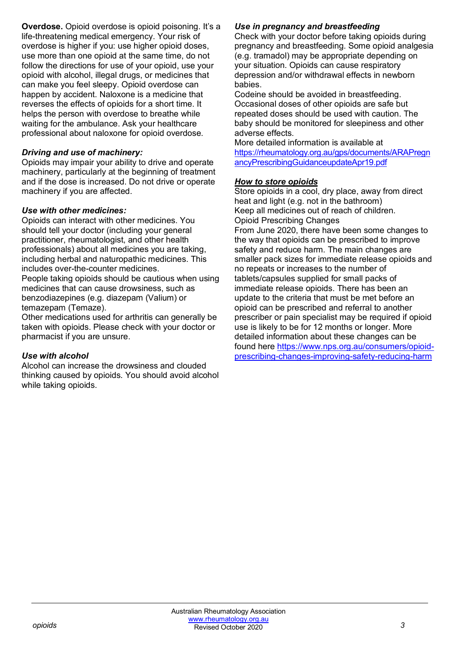**Overdose.** Opioid overdose is opioid poisoning. It's a life-threatening medical emergency. Your risk of overdose is higher if you: use higher opioid doses, use more than one opioid at the same time, do not follow the directions for use of your opioid, use your opioid with alcohol, illegal drugs, or medicines that can make you feel sleepy. Opioid overdose can happen by accident. Naloxone is a medicine that reverses the effects of opioids for a short time. It helps the person with overdose to breathe while waiting for the ambulance. Ask your healthcare professional about naloxone for opioid overdose.

## *Driving and use of machinery:*

Opioids may impair your ability to drive and operate machinery, particularly at the beginning of treatment and if the dose is increased. Do not drive or operate machinery if you are affected.

## *Use with other medicines:*

Opioids can interact with other medicines. You should tell your doctor (including your general practitioner, rheumatologist, and other health professionals) about all medicines you are taking, including herbal and naturopathic medicines. This includes over-the-counter medicines.

People taking opioids should be cautious when using medicines that can cause drowsiness, such as benzodiazepines (e.g. diazepam (Valium) or temazepam (Temaze).

Other medications used for arthritis can generally be taken with opioids. Please check with your doctor or pharmacist if you are unsure.

## *Use with alcohol*

Alcohol can increase the drowsiness and clouded thinking caused by opioids. You should avoid alcohol while taking opioids.

## *Use in pregnancy and breastfeeding*

Check with your doctor before taking opioids during pregnancy and breastfeeding. Some opioid analgesia (e.g. tramadol) may be appropriate depending on your situation. Opioids can cause respiratory depression and/or withdrawal effects in newborn babies.

Codeine should be avoided in breastfeeding. Occasional doses of other opioids are safe but repeated doses should be used with caution. The baby should be monitored for sleepiness and other adverse effects.

More detailed information is available at [https://rheumatology.org.au/gps/documents/ARAPregn](https://rheumatology.org.au/gps/documents/ARAPregnancyPrescribingGuidanceupdateApr19.pdf) [ancyPrescribingGuidanceupdateApr19.pdf](https://rheumatology.org.au/gps/documents/ARAPregnancyPrescribingGuidanceupdateApr19.pdf)

## *How to store opioids*

Store opioids in a cool, dry place, away from direct heat and light (e.g. not in the bathroom) Keep all medicines out of reach of children. Opioid Prescribing Changes From June 2020, there have been some changes to the way that opioids can be prescribed to improve safety and reduce harm. The main changes are smaller pack sizes for immediate release opioids and no repeats or increases to the number of tablets/capsules supplied for small packs of immediate release opioids. There has been an update to the criteria that must be met before an opioid can be prescribed and referral to another prescriber or pain specialist may be required if opioid use is likely to be for 12 months or longer. More detailed information about these changes can be found here [https://www.nps.org.au/consumers/opioid](https://www.nps.org.au/consumers/opioid-prescribing-changes-improving-safety-reducing-harm)[prescribing-changes-improving-safety-reducing-harm](https://www.nps.org.au/consumers/opioid-prescribing-changes-improving-safety-reducing-harm)